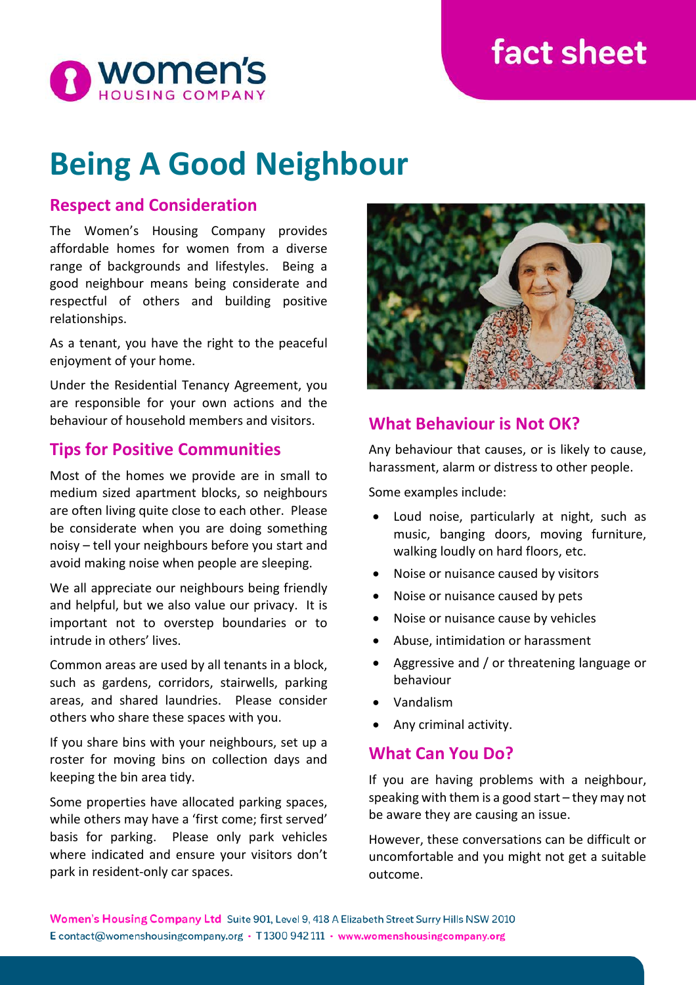# fact sheet



# **Being A Good Neighbour**

### **Respect and Consideration**

The Women's Housing Company provides affordable homes for women from a diverse range of backgrounds and lifestyles. Being a good neighbour means being considerate and respectful of others and building positive relationships.

As a tenant, you have the right to the peaceful enjoyment of your home.

Under the Residential Tenancy Agreement, you are responsible for your own actions and the behaviour of household members and visitors.

# **Tips for Positive Communities**

Most of the homes we provide are in small to medium sized apartment blocks, so neighbours are often living quite close to each other. Please be considerate when you are doing something noisy – tell your neighbours before you start and avoid making noise when people are sleeping.

We all appreciate our neighbours being friendly and helpful, but we also value our privacy. It is important not to overstep boundaries or to intrude in others' lives.

Common areas are used by all tenants in a block, such as gardens, corridors, stairwells, parking areas, and shared laundries. Please consider others who share these spaces with you.

If you share bins with your neighbours, set up a roster for moving bins on collection days and keeping the bin area tidy.

Some properties have allocated parking spaces, while others may have a 'first come; first served' basis for parking. Please only park vehicles where indicated and ensure your visitors don't park in resident-only car spaces.



#### **What Behaviour is Not OK?**

Any behaviour that causes, or is likely to cause, harassment, alarm or distress to other people.

Some examples include:

- Loud noise, particularly at night, such as music, banging doors, moving furniture, walking loudly on hard floors, etc.
- Noise or nuisance caused by visitors
- Noise or nuisance caused by pets
- Noise or nuisance cause by vehicles
- Abuse, intimidation or harassment
- Aggressive and / or threatening language or behaviour
- Vandalism
- Any criminal activity.

# **What Can You Do?**

If you are having problems with a neighbour, speaking with them is a good start – they may not be aware they are causing an issue.

However, these conversations can be difficult or uncomfortable and you might not get a suitable outcome.

Women's Housing Company Ltd Suite 901, Level 9, 418 A Elizabeth Street Surry Hills NSW 2010 E contact@womenshousingcompany.org · T1300 942 111 · www.womenshousingcompany.org